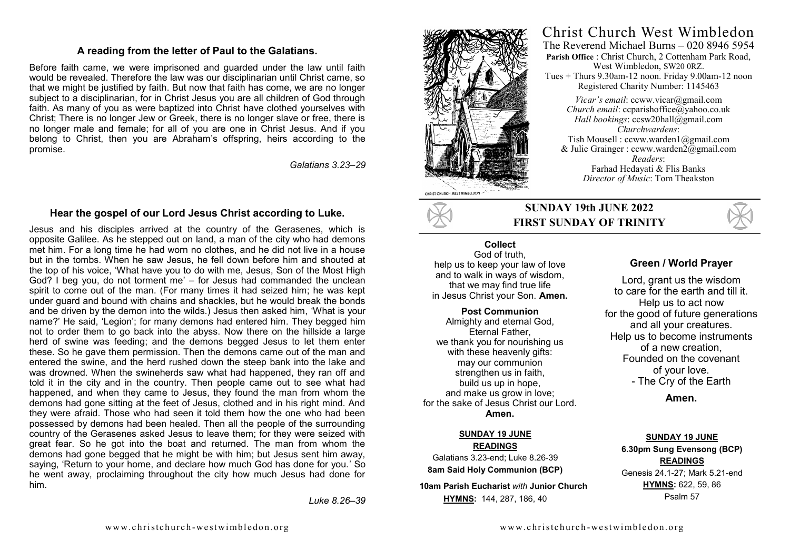#### **A reading from the letter of Paul to the Galatians.**

Before faith came, we were imprisoned and guarded under the law until faith would be revealed. Therefore the law was our disciplinarian until Christ came, so that we might be justified by faith. But now that faith has come, we are no longer subject to a disciplinarian, for in Christ Jesus you are all children of God through faith. As many of you as were baptized into Christ have clothed yourselves with Christ; There is no longer Jew or Greek, there is no longer slave or free, there is no longer male and female; for all of you are one in Christ Jesus. And if you belong to Christ, then you are Abraham's offspring, heirs according to the promise.

*Galatians 3.23–29*

#### **Hear the gospel of our Lord Jesus Christ according to Luke.**

Jesus and his disciples arrived at the country of the Gerasenes, which is opposite Galilee. As he stepped out on land, a man of the city who had demons met him. For a long time he had worn no clothes, and he did not live in a house but in the tombs. When he saw Jesus, he fell down before him and shouted at the top of his voice, 'What have you to do with me, Jesus, Son of the Most High God? I beg you, do not torment me' – for Jesus had commanded the unclean spirit to come out of the man. (For many times it had seized him; he was kept under guard and bound with chains and shackles, but he would break the bonds and be driven by the demon into the wilds.) Jesus then asked him, 'What is your name?' He said, 'Legion'; for many demons had entered him. They begged him not to order them to go back into the abyss. Now there on the hillside a large herd of swine was feeding; and the demons begged Jesus to let them enter these. So he gave them permission. Then the demons came out of the man and entered the swine, and the herd rushed down the steep bank into the lake and was drowned. When the swineherds saw what had happened, they ran off and told it in the city and in the country. Then people came out to see what had happened, and when they came to Jesus, they found the man from whom the demons had gone sitting at the feet of Jesus, clothed and in his right mind. And they were afraid. Those who had seen it told them how the one who had been possessed by demons had been healed. Then all the people of the surrounding country of the Gerasenes asked Jesus to leave them; for they were seized with great fear. So he got into the boat and returned. The man from whom the demons had gone begged that he might be with him; but Jesus sent him away, saying, 'Return to your home, and declare how much God has done for you.' So he went away, proclaiming throughout the city how much Jesus had done for him.

*Luke 8.26–39*



# Christ Church West Wimbledon

The Reverend Michael Burns – 020 8946 5954 **Parish Office** : Christ Church, 2 Cottenham Park Road, West Wimbledon, SW20 0RZ. Tues + Thurs 9.30am-12 noon. Friday 9.00am-12 noon Registered Charity Number: 1145463 *Vicar's email*: ccww.vicar@gmail.com

*Church email:* ccparishoffice@yahoo.co.uk *Hall bookings*: ccsw20hall@gmail.com *Churchwardens*: Tish Mousell : ccww.warden1@gmail.com & Julie Grainger : ccww.warden2@gmail.com *Readers*: Farhad Hedayati & Flis Banks *Director of Music*: Tom Theakston

# **SUNDAY 19th JUNE 2022 FIRST SUNDAY OF TRINITY**

#### **Collect**  God of truth, help us to keep your law of love and to walk in ways of wisdom, that we may find true life in Jesus Christ your Son. **Amen.**

**Post Communion**  Almighty and eternal God, Eternal Father, we thank you for nourishing us with these heavenly gifts: may our communion strengthen us in faith, build us up in hope, and make us grow in love: for the sake of Jesus Christ our Lord. **Amen.**

#### **SUNDAY 19 JUNE READINGS**

Galatians 3.23-end; Luke 8.26-39 **8am Said Holy Communion (BCP)** 

 **10am Parish Eucharist** *with* **Junior Church HYMNS:** 144, 287, 186, 40



#### **Green / World Prayer**

Lord, grant us the wisdom to care for the earth and till it. Help us to act now for the good of future generations and all your creatures. Help us to become instruments of a new creation, Founded on the covenant of your love. - The Cry of the Earth

**Amen.**

#### **SUNDAY 19 JUNE 6.30pm Sung Evensong (BCP) READINGS** Genesis 24.1-27; Mark 5.21-end **HYMNS:** 622, 59, 86 Psalm 57